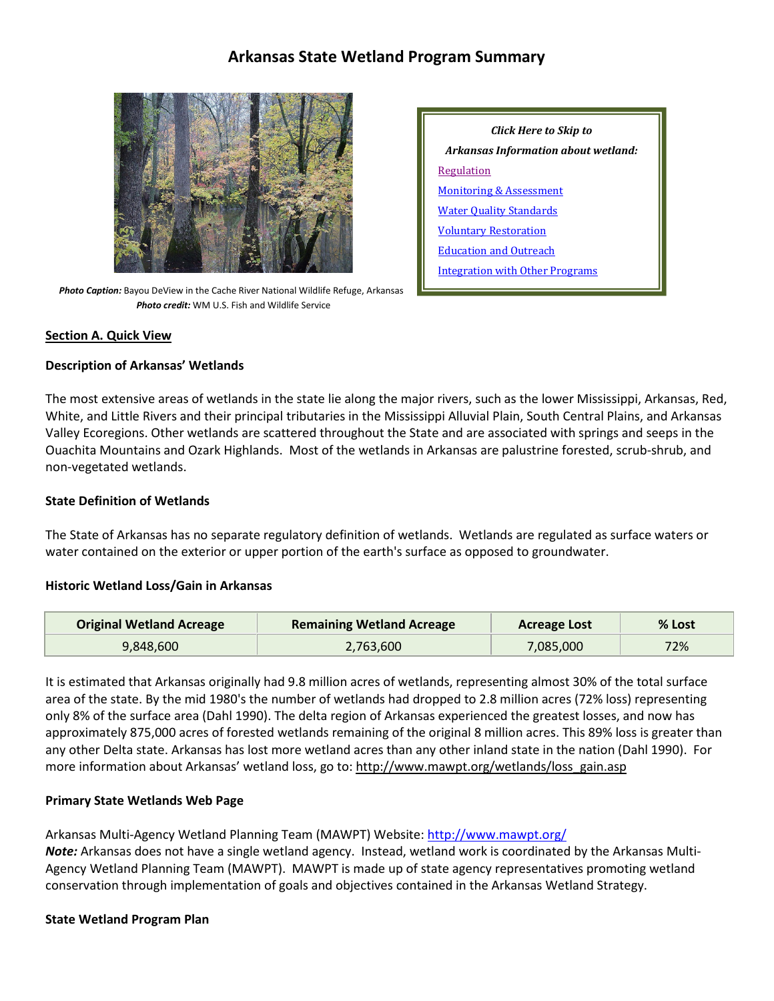# **Arkansas State Wetland Program Summary**



 *Photo Caption:* Bayou DeView in the Cache River National Wildlife Refuge, Arkansas *Photo credit:* WM U.S. Fish and Wildlife Service

| Click Here to Skip to               |
|-------------------------------------|
| Arkansas Information about wetland: |
| Regulation                          |
| <b>Monitoring &amp; Assessment</b>  |
| <b>Water Quality Standards</b>      |
| <b>Voluntary Restoration</b>        |
| <b>Education and Outreach</b>       |
| Integration with Other Programs     |

#### **Section A. Quick View**

### **Description of Arkansas' Wetlands**

The most extensive areas of wetlands in the state lie along the major rivers, such as the lower Mississippi, Arkansas, Red, White, and Little Rivers and their principal tributaries in the Mississippi Alluvial Plain, South Central Plains, and Arkansas Valley Ecoregions. Other wetlands are scattered throughout the State and are associated with springs and seeps in the Ouachita Mountains and Ozark Highlands. Most of the wetlands in Arkansas are palustrine forested, scrub-shrub, and non-vegetated wetlands.

#### **State Definition of Wetlands**

The State of Arkansas has no separate regulatory definition of wetlands. Wetlands are regulated as surface waters or water contained on the exterior or upper portion of the earth's surface as opposed to groundwater.

#### **Historic Wetland Loss/Gain in Arkansas**

| <b>Original Wetland Acreage</b> | <b>Remaining Wetland Acreage</b> | Acreage Lost | % Lost |
|---------------------------------|----------------------------------|--------------|--------|
| 9,848,600                       | 2,763,600                        | 7,085,000    | 72%    |

It is estimated that Arkansas originally had 9.8 million acres of wetlands, representing almost 30% of the total surface area of the state. By the mid 1980's the number of wetlands had dropped to 2.8 million acres (72% loss) representing only 8% of the surface area (Dahl 1990). The delta region of Arkansas experienced the greatest losses, and now has approximately 875,000 acres of forested wetlands remaining of the original 8 million acres. This 89% loss is greater than any other Delta state. Arkansas has lost more wetland acres than any other inland state in the nation (Dahl 1990). For more information about Arkansas' wetland loss, go to[: http://www.mawpt.org/wetlands/loss\\_gain.asp](http://www.mawpt.org/wetlands/loss_gain.asp)

### **Primary State Wetlands Web Page**

Arkansas Multi-Agency Wetland Planning Team (MAWPT) Website:<http://www.mawpt.org/>

*Note:* Arkansas does not have a single wetland agency. Instead, wetland work is coordinated by the Arkansas Multi-Agency Wetland Planning Team (MAWPT). MAWPT is made up of state agency representatives promoting wetland conservation through implementation of goals and objectives contained in the Arkansas Wetland Strategy.

#### **State Wetland Program Plan**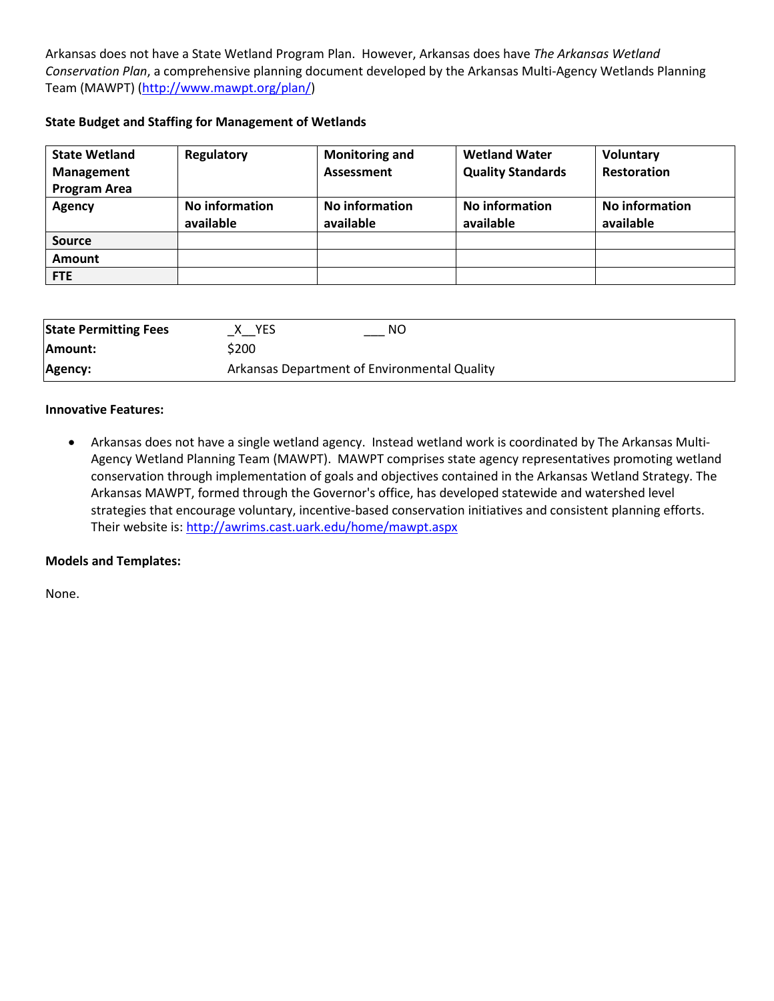Arkansas does not have a State Wetland Program Plan. However, Arkansas does have *The Arkansas Wetland Conservation Plan*, a comprehensive planning document developed by the Arkansas Multi-Agency Wetlands Planning Team (MAWPT) [\(http://www.mawpt.org/plan/\)](http://www.mawpt.org/plan/)

# **State Budget and Staffing for Management of Wetlands**

| <b>State Wetland</b> | Regulatory                  | <b>Monitoring and</b>       | <b>Wetland Water</b>        | Voluntary                   |
|----------------------|-----------------------------|-----------------------------|-----------------------------|-----------------------------|
| <b>Management</b>    |                             | Assessment                  | <b>Quality Standards</b>    | <b>Restoration</b>          |
| <b>Program Area</b>  |                             |                             |                             |                             |
| Agency               | No information<br>available | No information<br>available | No information<br>available | No information<br>available |
| <b>Source</b>        |                             |                             |                             |                             |
| Amount               |                             |                             |                             |                             |
| <b>FTE</b>           |                             |                             |                             |                             |

| <b>State Permitting Fees</b> | NO.<br>YES                                   |
|------------------------------|----------------------------------------------|
| <b>Amount:</b>               | \$200                                        |
| Agency:                      | Arkansas Department of Environmental Quality |

# **Innovative Features:**

• Arkansas does not have a single wetland agency. Instead wetland work is coordinated by The Arkansas Multi-Agency Wetland Planning Team (MAWPT). MAWPT comprises state agency representatives promoting wetland conservation through implementation of goals and objectives contained in the Arkansas Wetland Strategy. The Arkansas MAWPT, formed through the Governor's office, has developed statewide and watershed level strategies that encourage voluntary, incentive-based conservation initiatives and consistent planning efforts. Their website is:<http://awrims.cast.uark.edu/home/mawpt.aspx>

# **Models and Templates:**

None.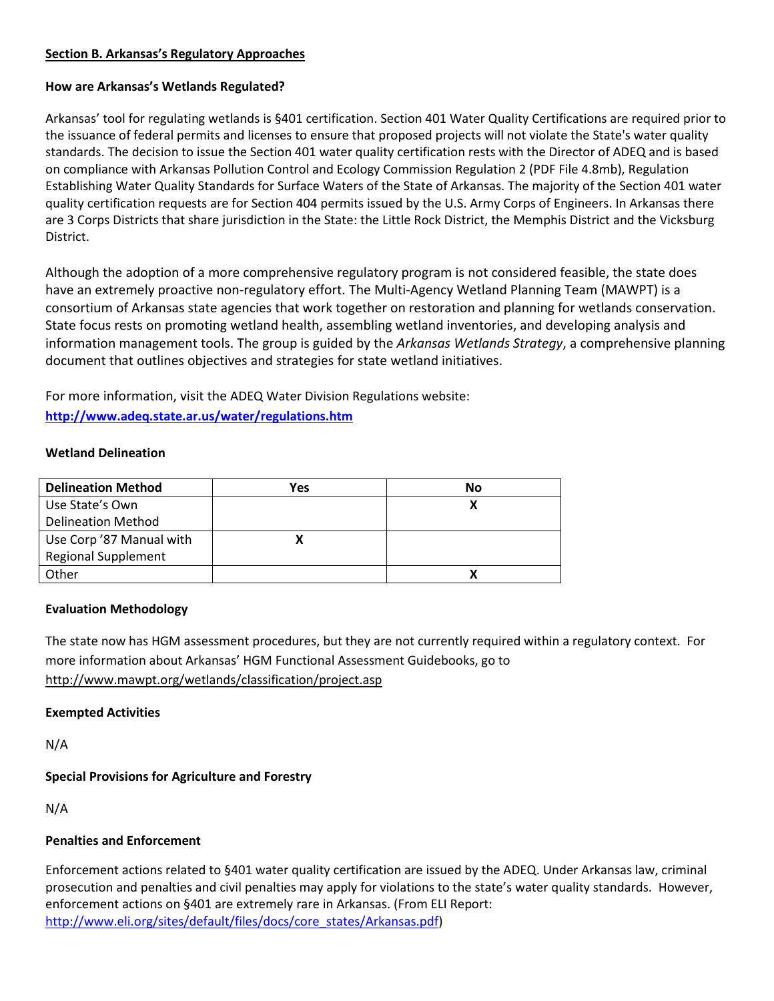# <span id="page-2-0"></span>**Section B. Arkansas's Regulatory Approaches**

### **How are Arkansas's Wetlands Regulated?**

Arkansas' tool for regulating wetlands is §401 certification. Section 401 Water Quality Certifications are required prior to the issuance of federal permits and licenses to ensure that proposed projects will not violate the State's water quality standards. The decision to issue the Section 401 water quality certification rests with the Director of ADEQ and is based on compliance with Arkansas Pollution Control and Ecology Commission Regulation 2 (PDF File 4.8mb), Regulation Establishing Water Quality Standards for Surface Waters of the State of Arkansas. The majority of the Section 401 water quality certification requests are for Section 404 permits issued by the U.S. Army Corps of Engineers. In Arkansas there are 3 Corps Districts that share jurisdiction in the State: the Little Rock District, the Memphis District and the Vicksburg District.

Although the adoption of a more comprehensive regulatory program is not considered feasible, the state does have an extremely proactive non-regulatory effort. The Multi-Agency Wetland Planning Team (MAWPT) is a consortium of Arkansas state agencies that work together on restoration and planning for wetlands conservation. State focus rests on promoting wetland health, assembling wetland inventories, and developing analysis and information management tools. The group is guided by the *Arkansas Wetlands Strategy*, a comprehensive planning document that outlines objectives and strategies for state wetland initiatives.

For more information, visit the ADEQ Water Division Regulations website: **<http://www.adeq.state.ar.us/water/regulations.htm>**

### **Wetland Delineation**

| <b>Delineation Method</b>  | Yes | No |
|----------------------------|-----|----|
| Use State's Own            |     | х  |
| <b>Delineation Method</b>  |     |    |
| Use Corp '87 Manual with   |     |    |
| <b>Regional Supplement</b> |     |    |
| Other                      |     | x  |

# **Evaluation Methodology**

The state now has HGM assessment procedures, but they are not currently required within a regulatory context. For more information about Arkansas' HGM Functional Assessment Guidebooks, go to <http://www.mawpt.org/wetlands/classification/project.asp>

### **Exempted Activities**

N/A

# **Special Provisions for Agriculture and Forestry**

N/A

### **Penalties and Enforcement**

Enforcement actions related to §401 water quality certification are issued by the ADEQ. Under Arkansas law, criminal prosecution and penalties and civil penalties may apply for violations to the state's water quality standards. However, enforcement actions on §401 are extremely rare in Arkansas. (From ELI Report: [http://www.eli.org/sites/default/files/docs/core\\_states/Arkansas.pdf\)](http://www.eli.org/sites/default/files/docs/core_states/Arkansas.pdf)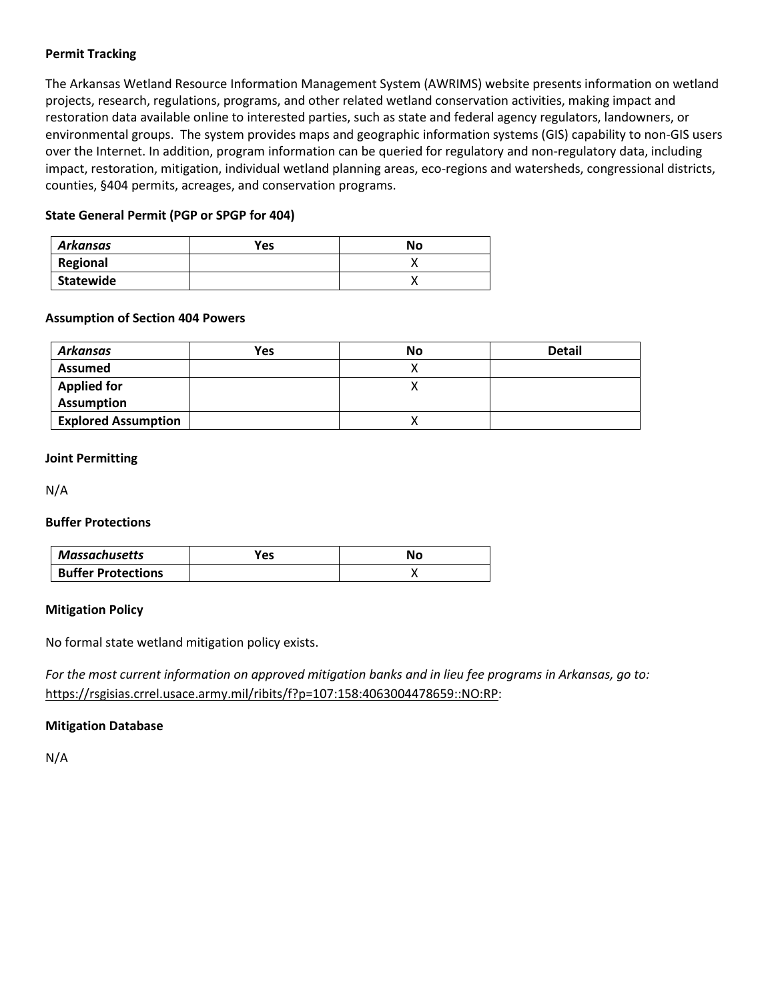### **Permit Tracking**

The Arkansas Wetland Resource Information Management System (AWRIMS) website presents information on wetland projects, research, regulations, programs, and other related wetland conservation activities, making impact and restoration data available online to interested parties, such as state and federal agency regulators, landowners, or environmental groups. The system provides maps and geographic information systems (GIS) capability to non-GIS users over the Internet. In addition, program information can be queried for regulatory and non-regulatory data, including impact, restoration, mitigation, individual wetland planning areas, eco-regions and watersheds, congressional districts, counties, §404 permits, acreages, and conservation programs.

# **State General Permit (PGP or SPGP for 404)**

| Arkansas  | Yes | No      |
|-----------|-----|---------|
| Regional  |     |         |
| Statewide |     | $\cdot$ |

### **Assumption of Section 404 Powers**

| Arkansas                   | <b>Yes</b> | No | <b>Detail</b> |
|----------------------------|------------|----|---------------|
| <b>Assumed</b>             |            |    |               |
| <b>Applied for</b>         |            |    |               |
| Assumption                 |            |    |               |
| <b>Explored Assumption</b> |            |    |               |

# **Joint Permitting**

N/A

### **Buffer Protections**

| Massachusetts             | Yes | Nο |
|---------------------------|-----|----|
| <b>Buffer Protections</b> |     |    |

### **Mitigation Policy**

No formal state wetland mitigation policy exists.

*For the most current information on approved mitigation banks and in lieu fee programs in Arkansas, go to:* [https://rsgisias.crrel.usace.army.mil/ribits/f?p=107:158:4063004478659::NO:RP:](https://rsgisias.crrel.usace.army.mil/ribits/f?p=107:158:4063004478659::NO:RP)

### **Mitigation Database**

N/A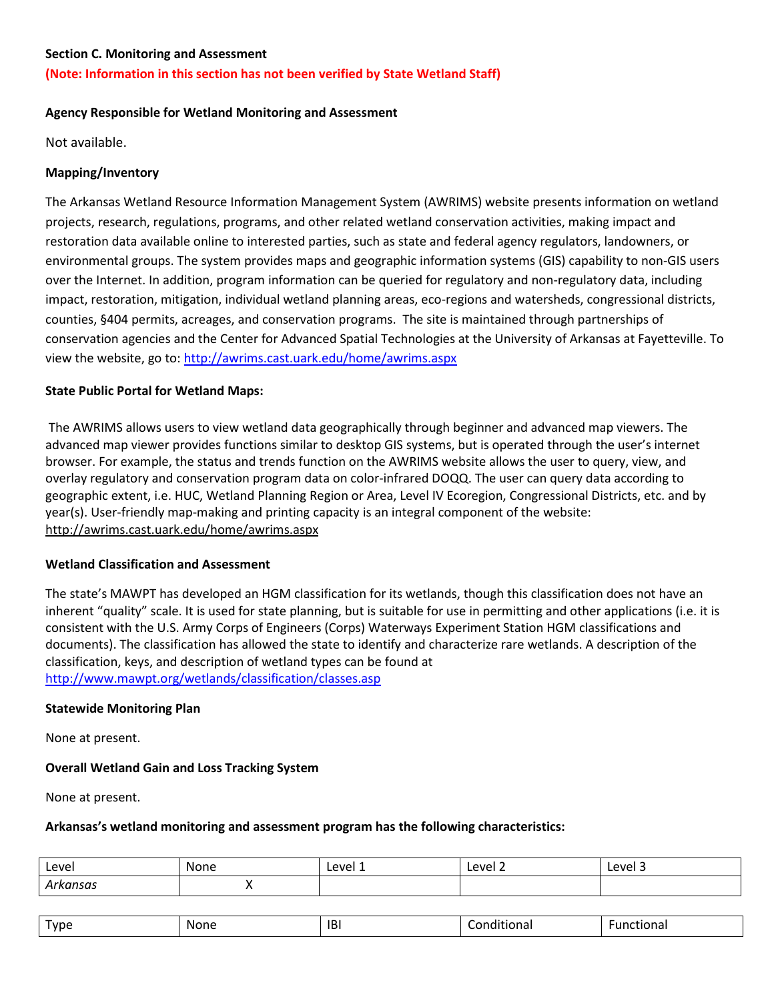#### <span id="page-4-0"></span>**Section C. Monitoring and Assessment**

### **(Note: Information in this section has not been verified by State Wetland Staff)**

#### **Agency Responsible for Wetland Monitoring and Assessment**

Not available.

### **Mapping/Inventory**

The Arkansas Wetland Resource Information Management System (AWRIMS) website presents information on wetland projects, research, regulations, programs, and other related wetland conservation activities, making impact and restoration data available online to interested parties, such as state and federal agency regulators, landowners, or environmental groups. The system provides maps and geographic information systems (GIS) capability to non-GIS users over the Internet. In addition, program information can be queried for regulatory and non-regulatory data, including impact, restoration, mitigation, individual wetland planning areas, eco-regions and watersheds, congressional districts, counties, §404 permits, acreages, and conservation programs. The site is maintained through partnerships of conservation agencies and the Center for Advanced Spatial Technologies at the University of Arkansas at Fayetteville. To view the website, go to:<http://awrims.cast.uark.edu/home/awrims.aspx>

### **State Public Portal for Wetland Maps:**

The AWRIMS allows users to view wetland data geographically through beginner and advanced map viewers. The advanced map viewer provides functions similar to desktop GIS systems, but is operated through the user's internet browser. For example, the status and trends function on the AWRIMS website allows the user to query, view, and overlay regulatory and conservation program data on color-infrared DOQQ. The user can query data according to geographic extent, i.e. HUC, Wetland Planning Region or Area, Level IV Ecoregion, Congressional Districts, etc. and by year(s). User-friendly map-making and printing capacity is an integral component of the website: <http://awrims.cast.uark.edu/home/awrims.aspx>

#### **Wetland Classification and Assessment**

The state's MAWPT has developed an HGM classification for its wetlands, though this classification does not have an inherent "quality" scale. It is used for state planning, but is suitable for use in permitting and other applications (i.e. it is consistent with the U.S. Army Corps of Engineers (Corps) Waterways Experiment Station HGM classifications and documents). The classification has allowed the state to identify and characterize rare wetlands. A description of the classification, keys, and description of wetland types can be found at <http://www.mawpt.org/wetlands/classification/classes.asp>

#### **Statewide Monitoring Plan**

None at present.

# **Overall Wetland Gain and Loss Tracking System**

None at present.

#### **Arkansas's wetland monitoring and assessment program has the following characteristics:**

| Level     | None     | Level 1 | Level 2 | Level 3 |
|-----------|----------|---------|---------|---------|
| ำรas<br>. | $\cdots$ |         |         |         |

| <u>Ivne</u><br>. . | .<br><b>None</b><br>____ | <b>IB</b> | $\cdots$<br>tiona.<br>_ _ _ _ _ _ | .<br>tionai<br>una<br>. |
|--------------------|--------------------------|-----------|-----------------------------------|-------------------------|
|--------------------|--------------------------|-----------|-----------------------------------|-------------------------|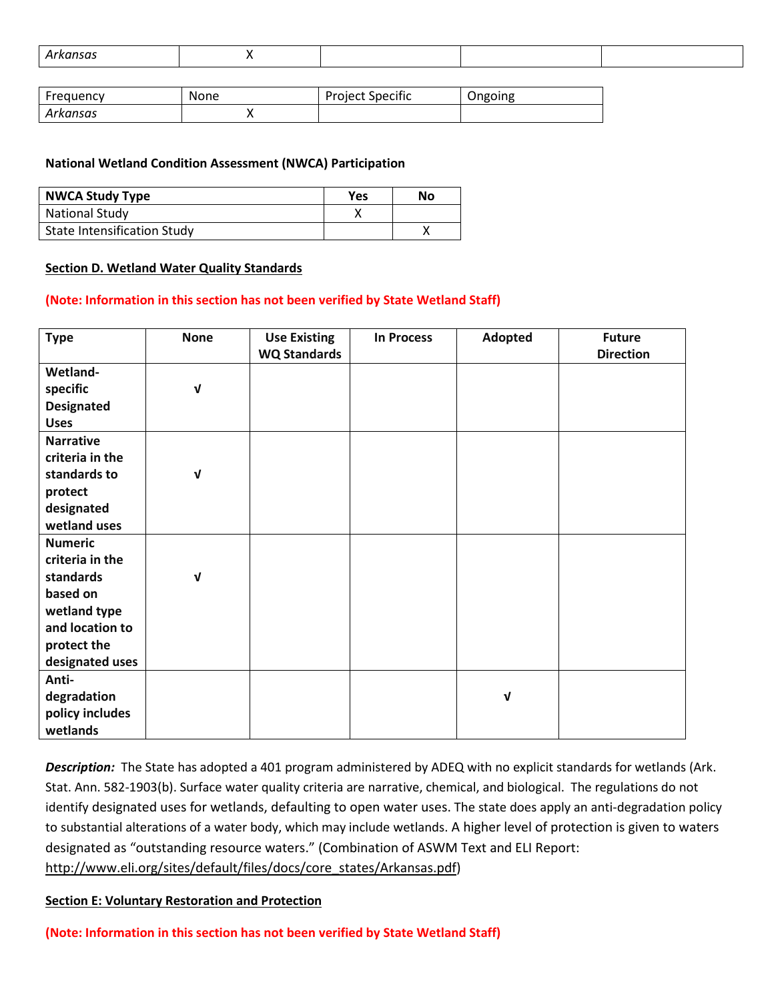|--|

| Frequency | None | <b>Project Specific</b> | Ongoing |
|-----------|------|-------------------------|---------|
| Arkansas  | ,,   |                         |         |

#### **National Wetland Condition Assessment (NWCA) Participation**

| <b>NWCA Study Type</b>             | <b>Yes</b> | No |
|------------------------------------|------------|----|
| <b>National Study</b>              |            |    |
| <b>State Intensification Study</b> |            |    |

#### <span id="page-5-0"></span>**Section D. Wetland Water Quality Standards**

#### **(Note: Information in this section has not been verified by State Wetland Staff)**

| <b>Type</b>       | <b>None</b> | <b>Use Existing</b><br><b>WQ Standards</b> | <b>In Process</b> | Adopted     | <b>Future</b><br><b>Direction</b> |
|-------------------|-------------|--------------------------------------------|-------------------|-------------|-----------------------------------|
| Wetland-          |             |                                            |                   |             |                                   |
| specific          | $\mathbf v$ |                                            |                   |             |                                   |
| <b>Designated</b> |             |                                            |                   |             |                                   |
| <b>Uses</b>       |             |                                            |                   |             |                                   |
| <b>Narrative</b>  |             |                                            |                   |             |                                   |
| criteria in the   |             |                                            |                   |             |                                   |
| standards to      | $\mathbf v$ |                                            |                   |             |                                   |
| protect           |             |                                            |                   |             |                                   |
| designated        |             |                                            |                   |             |                                   |
| wetland uses      |             |                                            |                   |             |                                   |
| <b>Numeric</b>    |             |                                            |                   |             |                                   |
| criteria in the   |             |                                            |                   |             |                                   |
| standards         | $\mathbf v$ |                                            |                   |             |                                   |
| based on          |             |                                            |                   |             |                                   |
| wetland type      |             |                                            |                   |             |                                   |
| and location to   |             |                                            |                   |             |                                   |
| protect the       |             |                                            |                   |             |                                   |
| designated uses   |             |                                            |                   |             |                                   |
| Anti-             |             |                                            |                   |             |                                   |
| degradation       |             |                                            |                   | $\mathbf v$ |                                   |
| policy includes   |             |                                            |                   |             |                                   |
| wetlands          |             |                                            |                   |             |                                   |

*Description:*The State has adopted a 401 program administered by ADEQ with no explicit standards for wetlands (Ark. Stat. Ann. 582-1903(b). Surface water quality criteria are narrative, chemical, and biological. The regulations do not identify designated uses for wetlands, defaulting to open water uses. The state does apply an anti-degradation policy to substantial alterations of a water body, which may include wetlands. A higher level of protection is given to waters designated as "outstanding resource waters." (Combination of ASWM Text and ELI Report: [http://www.eli.org/sites/default/files/docs/core\\_states/Arkansas.pdf\)](http://www.eli.org/sites/default/files/docs/core_states/Arkansas.pdf)

#### <span id="page-5-1"></span>**Section E: Voluntary Restoration and Protection**

**(Note: Information in this section has not been verified by State Wetland Staff)**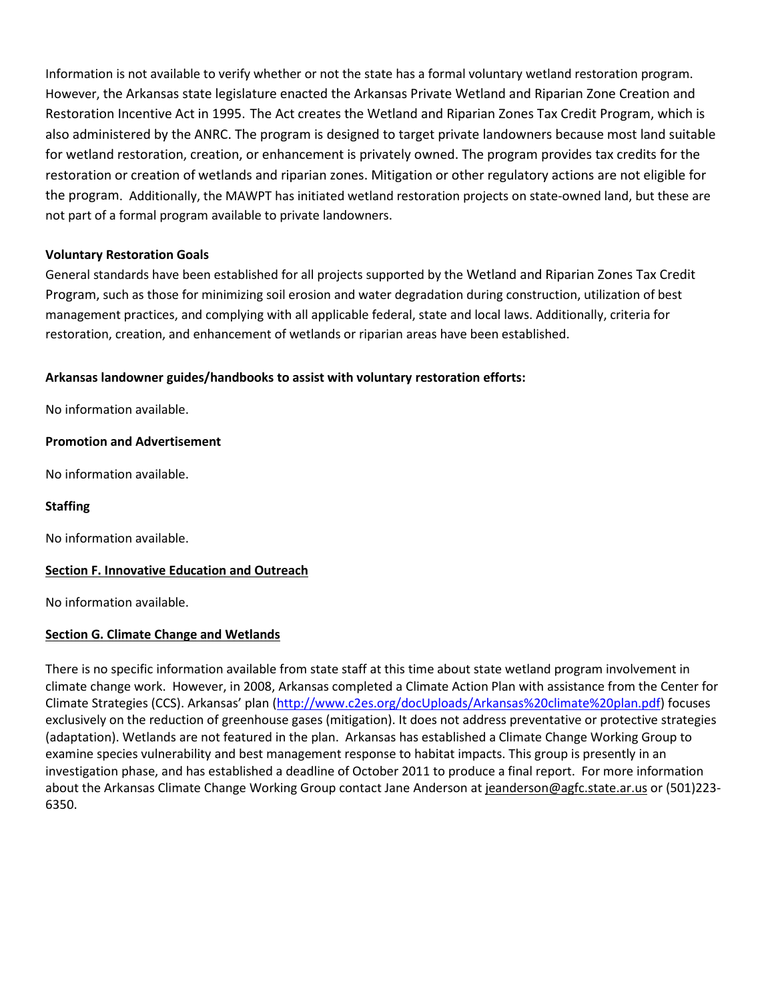Information is not available to verify whether or not the state has a formal voluntary wetland restoration program. However, the Arkansas state legislature enacted the Arkansas Private Wetland and Riparian Zone Creation and Restoration Incentive Act in 1995. The Act creates the Wetland and Riparian Zones Tax Credit Program, which is also administered by the ANRC. The program is designed to target private landowners because most land suitable for wetland restoration, creation, or enhancement is privately owned. The program provides tax credits for the restoration or creation of wetlands and riparian zones. Mitigation or other regulatory actions are not eligible for the program. Additionally, the MAWPT has initiated wetland restoration projects on state-owned land, but these are not part of a formal program available to private landowners.

# **Voluntary Restoration Goals**

General standards have been established for all projects supported by the Wetland and Riparian Zones Tax Credit Program, such as those for minimizing soil erosion and water degradation during construction, utilization of best management practices, and complying with all applicable federal, state and local laws. Additionally, criteria for restoration, creation, and enhancement of wetlands or riparian areas have been established.

# **Arkansas landowner guides/handbooks to assist with voluntary restoration efforts:**

No information available.

# **Promotion and Advertisement**

No information available.

# **Staffing**

No information available.

### <span id="page-6-0"></span>**Section F. Innovative Education and Outreach**

No information available.

### **Section G. Climate Change and Wetlands**

There is no specific information available from state staff at this time about state wetland program involvement in climate change work. However, in 2008, Arkansas completed a Climate Action Plan with assistance from the Center for Climate Strategies (CCS). Arkansas' plan [\(http://www.c2es.org/docUploads/Arkansas%20climate%20plan.pdf\)](http://www.c2es.org/docUploads/Arkansas%20climate%20plan.pdf) focuses exclusively on the reduction of greenhouse gases (mitigation). It does not address preventative or protective strategies (adaptation). Wetlands are not featured in the plan. Arkansas has established a Climate Change Working Group to examine species vulnerability and best management response to habitat impacts. This group is presently in an investigation phase, and has established a deadline of October 2011 to produce a final report. For more information about the Arkansas Climate Change Working Group contact Jane Anderson at [jeanderson@agfc.state.ar.us](mailto:jeanderson@agfc.state.ar.us) or (501)223-6350.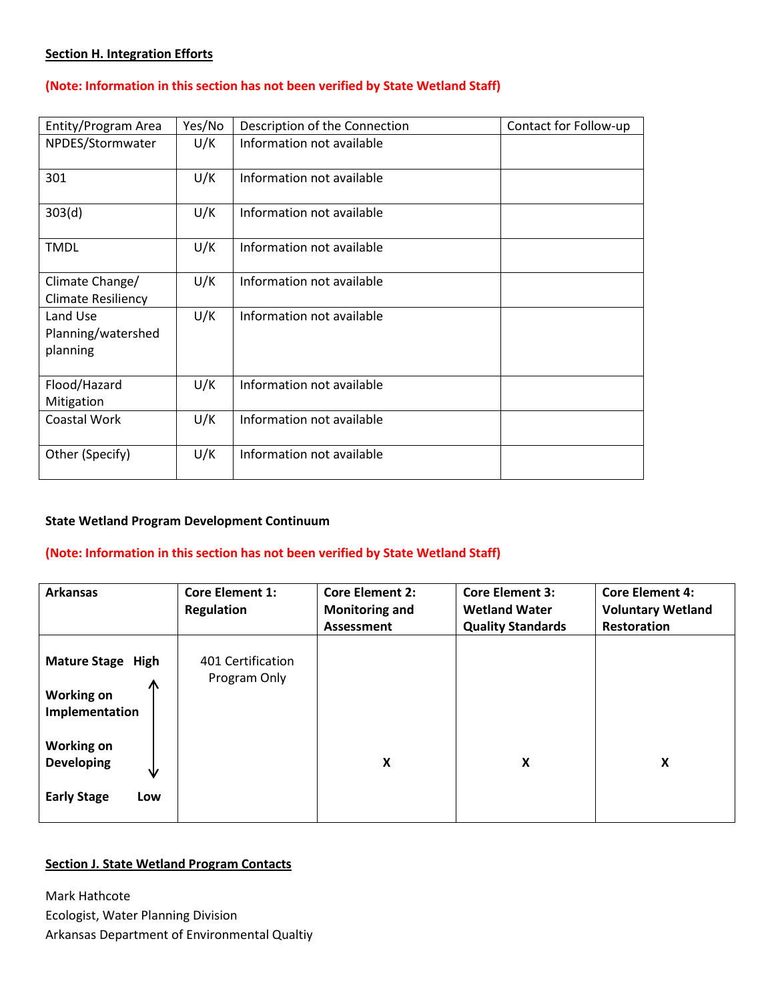# <span id="page-7-0"></span>**Section H. Integration Efforts**

### **(Note: Information in this section has not been verified by State Wetland Staff)**

| Entity/Program Area                          | Yes/No | Description of the Connection | Contact for Follow-up |
|----------------------------------------------|--------|-------------------------------|-----------------------|
| NPDES/Stormwater                             | U/K    | Information not available     |                       |
| 301                                          | U/K    | Information not available     |                       |
| 303(d)                                       | U/K    | Information not available     |                       |
| <b>TMDL</b>                                  | U/K    | Information not available     |                       |
| Climate Change/<br><b>Climate Resiliency</b> | U/K    | Information not available     |                       |
| Land Use<br>Planning/watershed<br>planning   | U/K    | Information not available     |                       |
| Flood/Hazard<br>Mitigation                   | U/K    | Information not available     |                       |
| Coastal Work                                 | U/K    | Information not available     |                       |
| Other (Specify)                              | U/K    | Information not available     |                       |

#### **State Wetland Program Development Continuum**

#### **(Note: Information in this section has not been verified by State Wetland Staff)**

| <b>Arkansas</b>                                                          | <b>Core Element 1:</b><br><b>Regulation</b> | <b>Core Element 2:</b><br><b>Monitoring and</b><br><b>Assessment</b> | <b>Core Element 3:</b><br><b>Wetland Water</b><br><b>Quality Standards</b> | <b>Core Element 4:</b><br><b>Voluntary Wetland</b><br><b>Restoration</b> |
|--------------------------------------------------------------------------|---------------------------------------------|----------------------------------------------------------------------|----------------------------------------------------------------------------|--------------------------------------------------------------------------|
| <b>Mature Stage High</b><br>Λ<br><b>Working on</b><br>Implementation     | 401 Certification<br>Program Only           |                                                                      |                                                                            |                                                                          |
| <b>Working on</b><br><b>Developing</b><br>₩<br><b>Early Stage</b><br>Low |                                             | X                                                                    | X                                                                          | X                                                                        |

### **Section J. State Wetland Program Contacts**

Mark Hathcote Ecologist, Water Planning Division Arkansas Department of Environmental Qualtiy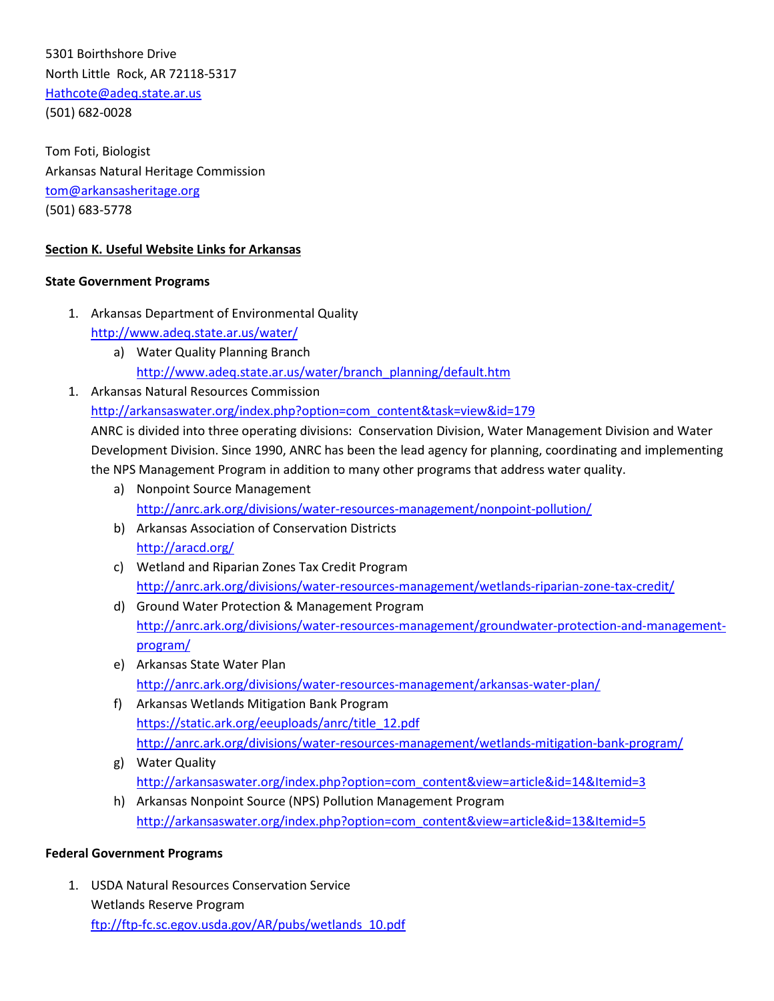5301 Boirthshore Drive North Little Rock, AR 72118-5317 [Hathcote@adeq.state.ar.us](mailto:Hathcote@adeq.state.ar.us) (501) 682-0028

Tom Foti, Biologist Arkansas Natural Heritage Commission [tom@arkansasheritage.org](mailto:tom@arkansasheritage.org) (501) 683-5778

# **Section K. Useful Website Links for Arkansas**

#### **State Government Programs**

- 1. Arkansas Department of Environmental Quality <http://www.adeq.state.ar.us/water/>
	- a) Water Quality Planning Branch [http://www.adeq.state.ar.us/water/branch\\_planning/default.htm](http://www.adeq.state.ar.us/water/branch_planning/default.htm)
- 1. Arkansas Natural Resources Commission [http://arkansaswater.org/index.php?option=com\\_content&task=view&id=179](http://arkansaswater.org/index.php?option=com_content&task=view&id=179)

ANRC is divided into three operating divisions: Conservation Division, Water Management Division and Water Development Division. Since 1990, ANRC has been the lead agency for planning, coordinating and implementing the NPS Management Program in addition to many other programs that address water quality.

- a) Nonpoint Source Management <http://anrc.ark.org/divisions/water-resources-management/nonpoint-pollution/>
- b) Arkansas Association of Conservation Districts <http://aracd.org/>
- c) Wetland and Riparian Zones Tax Credit Program <http://anrc.ark.org/divisions/water-resources-management/wetlands-riparian-zone-tax-credit/>
- d) Ground Water Protection & Management Program [http://anrc.ark.org/divisions/water-resources-management/groundwater-protection-and-management](http://anrc.ark.org/divisions/water-resources-management/groundwater-protection-and-management-program/)[program/](http://anrc.ark.org/divisions/water-resources-management/groundwater-protection-and-management-program/)
- e) Arkansas State Water Plan <http://anrc.ark.org/divisions/water-resources-management/arkansas-water-plan/>
- f) Arkansas Wetlands Mitigation Bank Program [https://static.ark.org/eeuploads/anrc/title\\_12.pdf](https://static.ark.org/eeuploads/anrc/title_12.pdf) <http://anrc.ark.org/divisions/water-resources-management/wetlands-mitigation-bank-program/>
- g) Water Quality [http://arkansaswater.org/index.php?option=com\\_content&view=article&id=14&Itemid=3](http://arkansaswater.org/index.php?option=com_content&view=article&id=14&Itemid=3)
- h) Arkansas Nonpoint Source (NPS) Pollution Management Program [http://arkansaswater.org/index.php?option=com\\_content&view=article&id=13&Itemid=5](http://arkansaswater.org/index.php?option=com_content&view=article&id=13&Itemid=5)

### **Federal Government Programs**

1. USDA Natural Resources Conservation Service Wetlands Reserve Program [ftp://ftp-fc.sc.egov.usda.gov/AR/pubs/wetlands\\_10.pdf](ftp://ftp-fc.sc.egov.usda.gov/AR/pubs/wetlands_10.pdf)